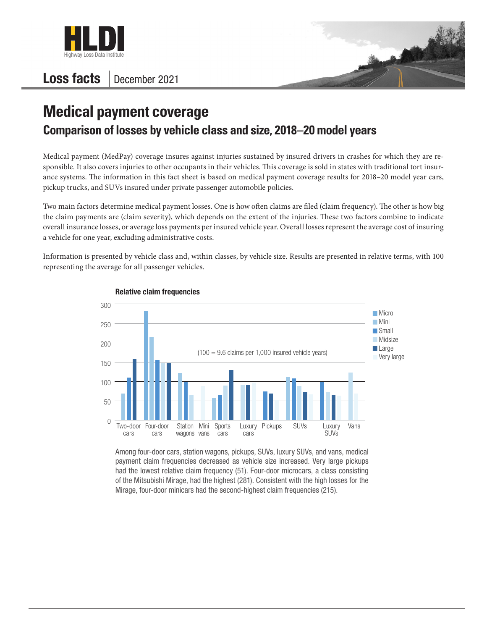

## Loss facts | December 2021



## **Medical payment coverage Comparison of losses by vehicle class and size, 2018–20 model years**

Medical payment (MedPay) coverage insures against injuries sustained by insured drivers in crashes for which they are responsible. It also covers injuries to other occupants in their vehicles. This coverage is sold in states with traditional tort insurance systems. The information in this fact sheet is based on medical payment coverage results for 2018–20 model year cars, pickup trucks, and SUVs insured under private passenger automobile policies.

Two main factors determine medical payment losses. One is how often claims are filed (claim frequency). The other is how big the claim payments are (claim severity), which depends on the extent of the injuries. These two factors combine to indicate overall insurance losses, or average loss payments per insured vehicle year. Overall losses represent the average cost of insuring a vehicle for one year, excluding administrative costs.

Information is presented by vehicle class and, within classes, by vehicle size. Results are presented in relative terms, with 100 representing the average for all passenger vehicles.



## Relative claim frequencies

Among four-door cars, station wagons, pickups, SUVs, luxury SUVs, and vans, medical payment claim frequencies decreased as vehicle size increased. Very large pickups had the lowest relative claim frequency (51). Four-door microcars, a class consisting of the Mitsubishi Mirage, had the highest (281). Consistent with the high losses for the Mirage, four-door minicars had the second-highest claim frequencies (215).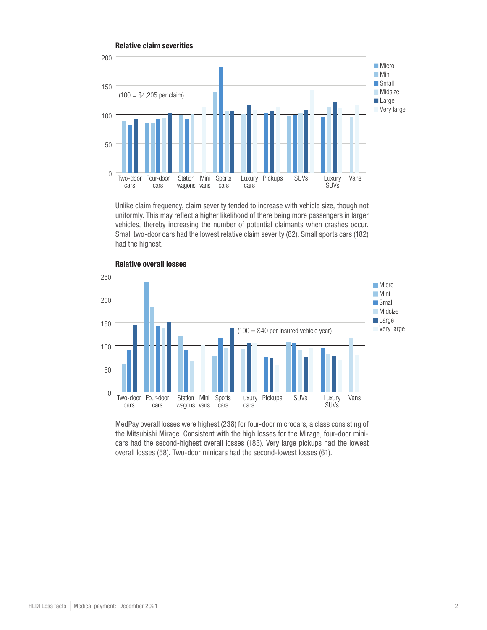

Unlike claim frequency, claim severity tended to increase with vehicle size, though not uniformly. This may reflect a higher likelihood of there being more passengers in larger vehicles, thereby increasing the number of potential claimants when crashes occur. Small two-door cars had the lowest relative claim severity (82). Small sports cars (182) had the highest.



Relative overall losses

MedPay overall losses were highest (238) for four-door microcars, a class consisting of the Mitsubishi Mirage. Consistent with the high losses for the Mirage, four-door minicars had the second-highest overall losses (183). Very large pickups had the lowest overall losses (58). Two-door minicars had the second-lowest losses (61).